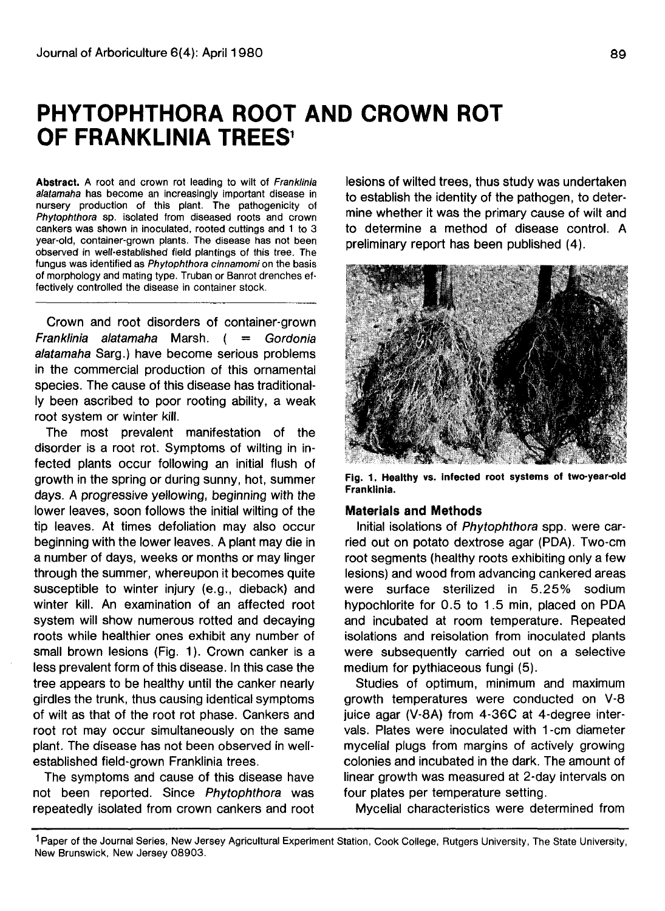# **PHYTOPHTHORA ROOT AND CROWN ROT OF FRANKLINIA TREES<sup>1</sup>**

Abstract. A root and crown rot leading to wilt of Franklinia alatamaha has become an increasingly important disease in nursery production of this plant. The pathogenicity of Phytophthora sp. isolated from diseased roots and crown cankers was shown in inoculated, rooted cuttings and 1 to 3 year-old, container-grown plants. The disease has not been observed in well-established field plantings of this tree. The fungus was identified as Phytophthora cinnamomi on the basis of morphology and mating type. Truban or Banrot drenches effectively controlled the disease in container stock.

Crown and root disorders of container-grown Franklinia alatamaha Marsh. ( = Gordonia alatamaha Sarg.) have become serious problems in the commercial production of this ornamental species. The cause of this disease has traditionally been ascribed to poor rooting ability, a weak root system or winter kill.

The most prevalent manifestation of the disorder is a root rot. Symptoms of wilting in infected plants occur following an initial flush of growth in the spring or during sunny, hot, summer days. A progressive yellowing, beginning with the lower leaves, soon follows the initial wilting of the tip leaves. At times defoliation may also occur beginning with the lower leaves. A plant may die in a number of days, weeks or months or may linger through the summer, whereupon it becomes quite susceptible to winter injury (e.g., dieback) and winter kill. An examination of an affected root system will show numerous rotted and decaying roots while healthier ones exhibit any number of small brown lesions (Fig. 1). Crown canker is a less prevalent form of this disease. In this case the tree appears to be healthy until the canker nearly girdles the trunk, thus causing identical symptoms of wilt as that of the root rot phase. Cankers and root rot may occur simultaneously on the same plant. The disease has not been observed in wellestablished field-grown Franklinia trees.

The symptoms and cause of this disease have not been reported. Since Phytophthora was repeatedly isolated from crown cankers and root lesions of wilted trees, thus study was undertaken to establish the identity of the pathogen, to determine whether it was the primary cause of wilt and to determine a method of disease control. A preliminary report has been published (4).



**Fig. 1. Healthy vs. infected root systems of two-year-old Franklinia.**

#### **Materials and Methods**

Initial isolations of Phytophthora spp. were carried out on potato dextrose agar (PDA). Two-cm root segments (healthy roots exhibiting only a few lesions) and wood from advancing cankered areas were surface sterilized in 5.25% sodium hypochlorite for 0.5 to 1.5 min, placed on PDA and incubated at room temperature. Repeated isolations and reisolation from inoculated plants were subsequently carried out on a selective medium for pythiaceous fungi (5).

Studies of optimum, minimum and maximum growth temperatures were conducted on V-8 juice agar (V-8A) from 4-36C at 4-degree intervals. Plates were inoculated with 1 -cm diameter mycelial plugs from margins of actively growing colonies and incubated in the dark. The amount of linear growth was measured at 2-day intervals on four plates per temperature setting.

Mycelial characteristics were determined from

1 Paper of the Journal Series, New Jersey Agricultural Experiment Station, Cook College, Rutgers University, The State University, New Brunswick, New Jersey 08903.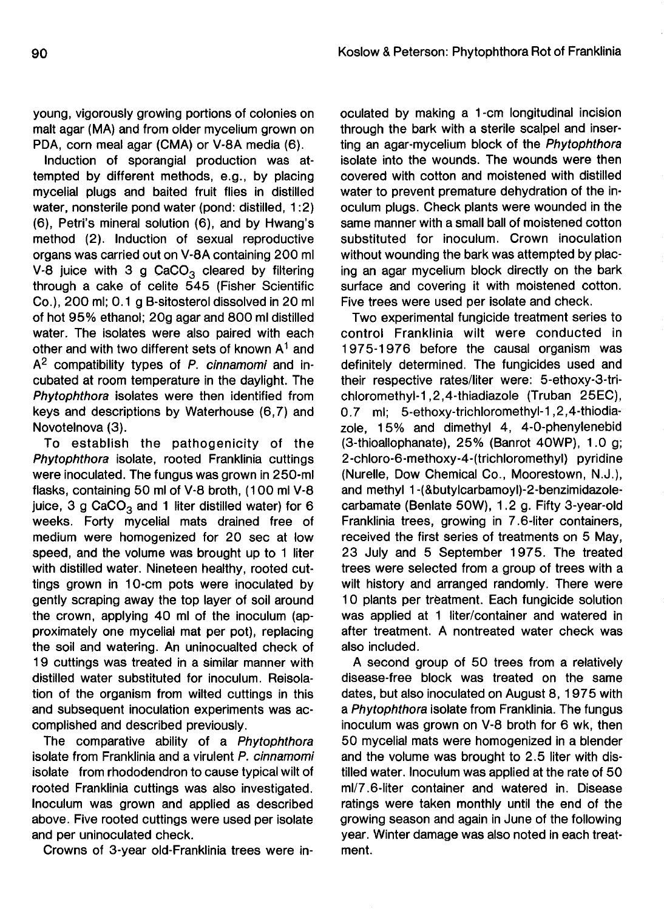young, vigorously growing portions of colonies on malt agar (MA) and from older mycelium grown on PDA, corn meal agar (CMA) or V-8A media (6).

Induction of sporangial production was attempted by different methods, e.g., by placing mycelial plugs and baited fruit flies in distilled water, nonsterile pond water (pond: distilled, 1:2) (6), Petri's mineral solution (6), and by Hwang's method (2). Induction of sexual reproductive organs was carried out on V-8A containing 200 ml V-8 juice with 3 g CaCO<sub>3</sub> cleared by filtering through a cake of celite 545 (Fisher Scientific Co.), 200 ml; 0.1 g B-sitosterol dissolved in 20 ml of hot 95% ethanol; 20g agar and 800 ml distilled water. The isolates were also paired with each other and with two different sets of known  $A<sup>1</sup>$  and A<sup>2</sup> compatibility types of P. cinnamomi and incubated at room temperature in the daylight. The Phytophthora isolates were then identified from keys and descriptions by Waterhouse (6,7) and Novotelnova (3).

To establish the pathogenicity of the Phytophthora isolate, rooted Franklinia cuttings were inoculated. The fungus was grown in 250-ml flasks, containing 50 ml of V-8 broth, (100 ml V-8 juice, 3 g CaCO<sub>3</sub> and 1 liter distilled water) for 6 weeks. Forty mycelial mats drained free of medium were homogenized for 20 sec at low speed, and the volume was brought up to 1 liter with distilled water. Nineteen healthy, rooted cuttings grown in 10-cm pots were inoculated by gently scraping away the top layer of soil around the crown, applying 40 ml of the inoculum (approximately one mycelial mat per pot), replacing the soil and watering. An uninocualted check of 19 cuttings was treated in a similar manner with distilled water substituted for inoculum. Reisolation of the organism from wilted cuttings in this and subsequent inoculation experiments was accomplished and described previously.

The comparative ability of a Phytophthora isolate from Franklinia and a virulent P. cinnamomi isolate from rhododendron to cause typical wilt of rooted Franklinia cuttings was also investigated. Inoculum was grown and applied as described above. Five rooted cuttings were used per isolate and per uninoculated check.

Crowns of 3-year old-Franklinia trees were in-

oculated by making a 1-cm longitudinal incision through the bark with a sterile scalpel and inserting an agar-mycelium block of the Phytophthora isolate into the wounds. The wounds were then covered with cotton and moistened with distilled water to prevent premature dehydration of the inoculum plugs. Check plants were wounded in the same manner with a small ball of moistened cotton substituted for inoculum. Crown inoculation without wounding the bark was attempted by placing an agar mycelium block directly on the bark surface and covering it with moistened cotton. Five trees were used per isolate and check.

Two experimental fungicide treatment series to control Franklinia wilt were conducted in 1975-1976 before the causal organism was definitely determined. The fungicides used and their respective rates/liter were: 5-ethoxy-3-trichloromethyl-1,2,4-thiadiazole (Truban 25EC), 0.7 ml; 5-ethoxy-trichloromethyl-1,2,4-thiodiazole, 15% and dimethyl 4, 4-0-phenylenebid (3-thioallophanate), 25% (Banrot 40WP), 1.0 g; 2-chloro-6-methoxy-4-(trichloromethyl) pyridine (Nurelle, Dow Chemical Co., Moorestown, N.J.), and methyl 1 -(&butylcarbamoyl)-2-benzimidazolecarbamate (Benlate 50W), 1.2 g. Fifty 3-year-old Franklinia trees, growing in 7.6-liter containers, received the first series of treatments on 5 May, 23 July and 5 September 1975. The treated trees were selected from a group of trees with a wilt history and arranged randomly. There were 10 plants per treatment. Each fungicide solution was applied at 1 liter/container and watered in after treatment. A nontreated water check was also included.

A second group of 50 trees from a relatively disease-free block was treated on the same dates, but also inoculated on August 8, 1975 with a Phytophthora isolate from Franklinia. The fungus inoculum was grown on V-8 broth for 6 wk, then 50 mycelial mats were homogenized in a blender and the volume was brought to 2.5 liter with distilled water. Inoculum was applied at the rate of 50 ml/7.6-liter container and watered in. Disease ratings were taken monthly until the end of the growing season and again in June of the following year. Winter damage was also noted in each treatment.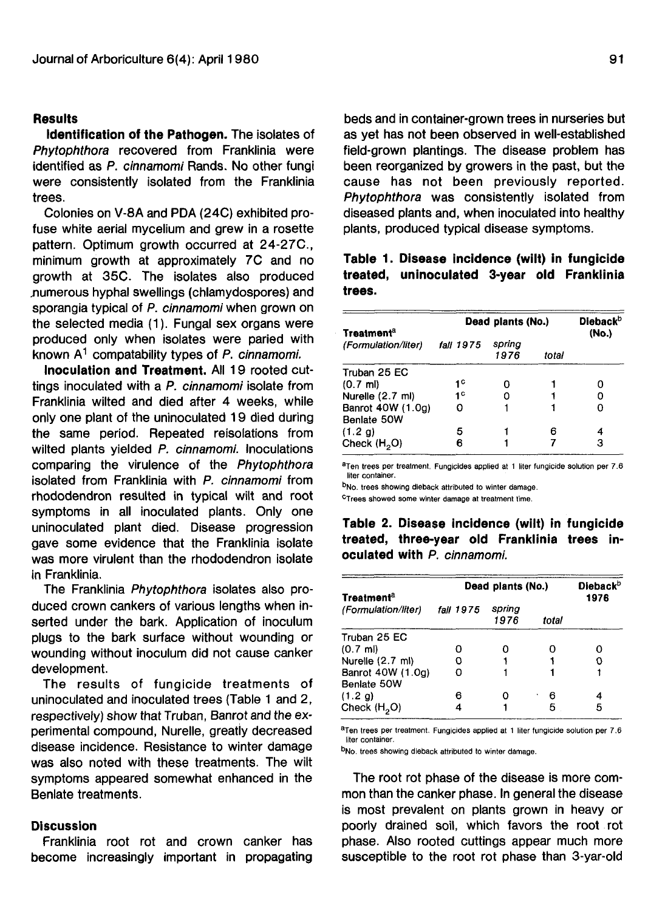#### **Results**

**Identification of the Pathogen.** The isolates of Phytophthora recovered from Franklinia were identified as P. cinnamomi Rands. No other fungi were consistently isolated from the Franklinia trees.

Colonies on V-8A and PDA (24C) exhibited profuse white aerial mycelium and grew in a rosette pattern. Optimum growth occurred at 24-27C., minimum growth at approximately 7C and no growth at 35C. The isolates also produced .numerous hyphal swellings (chlamydospores) and sporangia typical of P. cinnamomi when grown on the selected media (1). Fungal sex organs were produced only when isolates were paried with known  $A^1$  compatability types of P. cinnamomi.

**Inoculation and Treatment.** All 19 rooted cuttings inoculated with a P. cinnamomi isolate from Franklinia wilted and died after 4 weeks, while only one plant of the uninoculated 19 died during the same period. Repeated reisolations from wilted plants yielded P. cinnamomi. Inoculations comparing the virulence of the Phytophthora isolated from Franklinia with P. cinnamomi from rhododendron resulted in typical wilt and root symptoms in all inoculated plants. Only one uninoculated plant died. Disease progression gave some evidence that the Franklinia isolate was more virulent than the rhododendron isolate in Franklinia.

The Franklinia Phytophthora isolates also produced crown cankers of various lengths when inserted under the bark. Application of inoculum plugs to the bark surface without wounding or wounding without inoculum did not cause canker development.

The results of fungicide treatments of uninoculated and inoculated trees (Table 1 and 2, respectively) show that Truban, Banrot and the experimental compound, Nurelle, greatly decreased disease incidence. Resistance to winter damage was also noted with these treatments. The wilt symptoms appeared somewhat enhanced in the Benlate treatments.

## **Discussion**

Franklinia root rot and crown canker has become increasingly important in propagating beds and in container-grown trees in nurseries but as yet has not been observed in well-established field-grown plantings. The disease problem has been reorganized by growers in the past, but the cause has not been previously reported. Phytophthora was consistently isolated from diseased plants and, when inoculated into healthy plants, produced typical disease symptoms.

## **Table 1. Disease incidence (wilt) in fungicide treated, uninoculated 3-year old Franklinia trees.**

| Treatment <sup>a</sup><br>(Formulation/liter) | Dead plants (No.) |                |       | <b>Dieback</b> <sup>b</sup><br>(No.) |
|-----------------------------------------------|-------------------|----------------|-------|--------------------------------------|
|                                               | <i>fall</i> 1975  | spring<br>1976 | total |                                      |
| Truban 25 EC                                  |                   |                |       |                                      |
| $(0.7 \text{ ml})$                            | 1 C               |                |       |                                      |
| Nurelle (2.7 ml)                              | 1 <sup>C</sup>    |                |       |                                      |
| Banrot 40W (1.0g)<br>Benlate 50W              |                   |                |       |                                      |
| (1.2 g)                                       | 5                 |                | R     |                                      |
| Check $(H2O)$                                 | 6                 |                |       | з                                    |

aTen trees per treatment. Fungicides applied at 1 liter fungicide solution per 7.6 liter container.

bNo. trees showing dieback attributed to winter damage.

c Trees showed some winter damage at treatment time.

**Table 2. Disease incidence (wilt) in fungicide treated, three-year old Franklinia trees inoculated with** P. cinnamomi.

| Treatment <sup>a</sup><br>(Formulation/liter) | Dead plants (No.) |                |       | <b>Dieback</b> <sup>b</sup><br>1976 |
|-----------------------------------------------|-------------------|----------------|-------|-------------------------------------|
|                                               | <i>fall</i> 1975  | spring<br>1976 | total |                                     |
| Truban 25 EC                                  |                   |                |       |                                     |
| $(0.7 \text{ ml})$                            |                   |                |       | Ω                                   |
| Nurelle (2.7 ml)                              | o                 |                |       | Ω                                   |
| Banrot 40W (1.0g)<br>Benlate 50W              |                   |                |       |                                     |
| (1.2 g)                                       | 6                 |                | 6     | 4                                   |
| Check $(H2O)$                                 |                   |                | 5     | 5                                   |

aTen trees per treatment. Fungicides applied at 1 liter fungicide solution per 7.6 liter container.

b<sub>No.</sub> trees showing dieback attributed to winter damage.

The root rot phase of the disease is more common than the canker phase. In general the disease is most prevalent on plants grown in heavy or poorly drained soil, which favors the root rot phase. Also rooted cuttings appear much more susceptible to the root rot phase than 3-yar-old